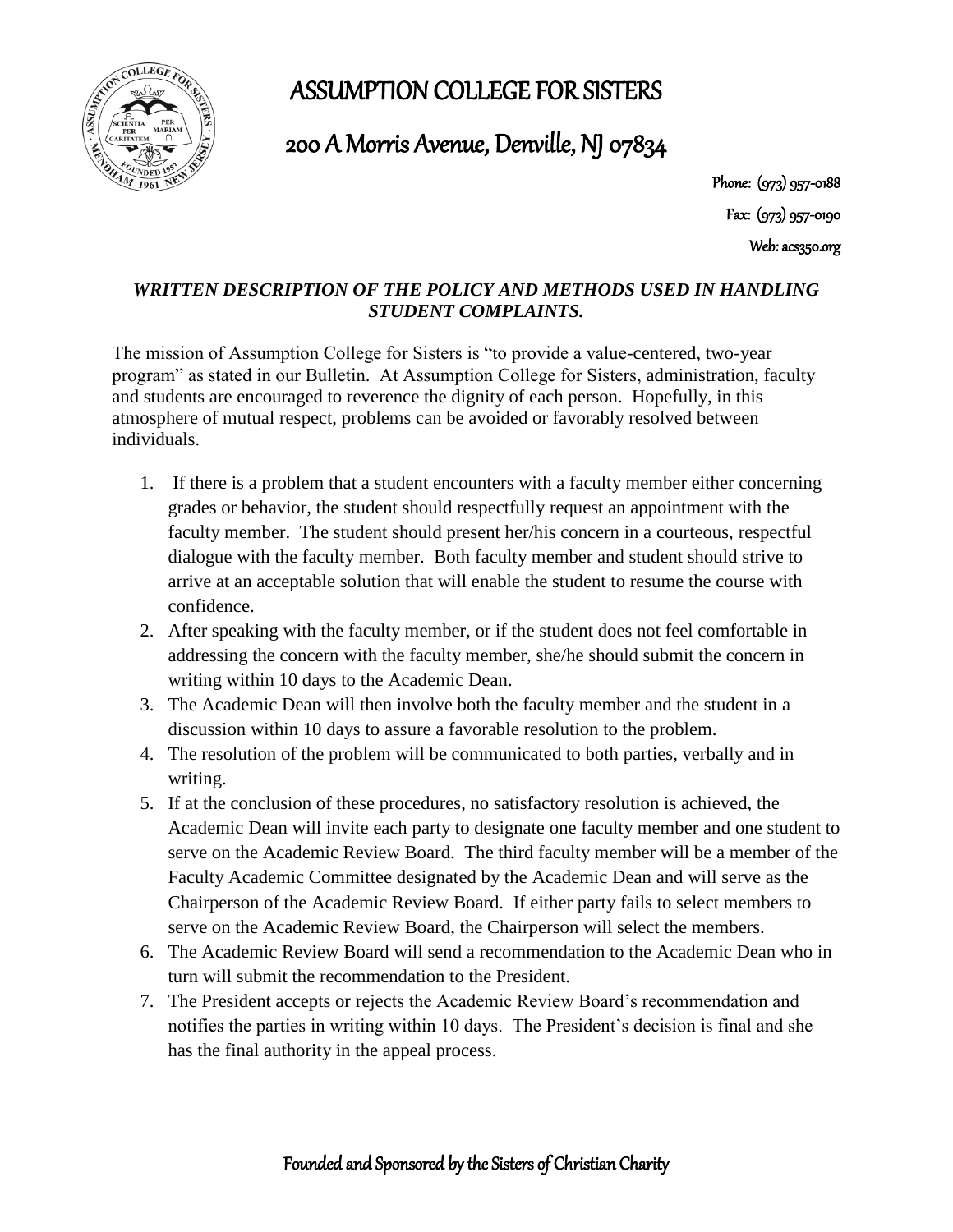ASSUMPTION COLLEGE FOR SISTERS



200 A Morris Avenue, Denville, NJ 07834

Phone: (973) 957-0188 Fax: (973) 957-0190 Web: acs350.org

## *WRITTEN DESCRIPTION OF THE POLICY AND METHODS USED IN HANDLING STUDENT COMPLAINTS.*

The mission of Assumption College for Sisters is "to provide a value-centered, two-year program" as stated in our Bulletin. At Assumption College for Sisters, administration, faculty and students are encouraged to reverence the dignity of each person. Hopefully, in this atmosphere of mutual respect, problems can be avoided or favorably resolved between individuals.

- 1. If there is a problem that a student encounters with a faculty member either concerning grades or behavior, the student should respectfully request an appointment with the faculty member. The student should present her/his concern in a courteous, respectful dialogue with the faculty member. Both faculty member and student should strive to arrive at an acceptable solution that will enable the student to resume the course with confidence.
- 2. After speaking with the faculty member, or if the student does not feel comfortable in addressing the concern with the faculty member, she/he should submit the concern in writing within 10 days to the Academic Dean.
- 3. The Academic Dean will then involve both the faculty member and the student in a discussion within 10 days to assure a favorable resolution to the problem.
- 4. The resolution of the problem will be communicated to both parties, verbally and in writing.
- 5. If at the conclusion of these procedures, no satisfactory resolution is achieved, the Academic Dean will invite each party to designate one faculty member and one student to serve on the Academic Review Board. The third faculty member will be a member of the Faculty Academic Committee designated by the Academic Dean and will serve as the Chairperson of the Academic Review Board. If either party fails to select members to serve on the Academic Review Board, the Chairperson will select the members.
- 6. The Academic Review Board will send a recommendation to the Academic Dean who in turn will submit the recommendation to the President.
- 7. The President accepts or rejects the Academic Review Board's recommendation and notifies the parties in writing within 10 days. The President's decision is final and she has the final authority in the appeal process.